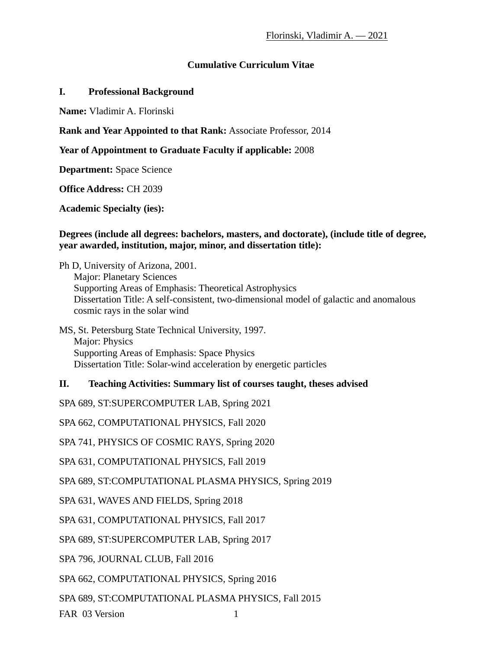# **Cumulative Curriculum Vitae**

#### **I. Professional Background**

**Name:** Vladimir A. Florinski

## **Rank and Year Appointed to that Rank:** Associate Professor, 2014

## **Year of Appointment to Graduate Faculty if applicable:** 2008

**Department:** Space Science

**Office Address:** CH 2039

**Academic Specialty (ies):**

### **Degrees (include all degrees: bachelors, masters, and doctorate), (include title of degree, year awarded, institution, major, minor, and dissertation title):**

Ph D, University of Arizona, 2001. Major: Planetary Sciences Supporting Areas of Emphasis: Theoretical Astrophysics Dissertation Title: A self-consistent, two-dimensional model of galactic and anomalous cosmic rays in the solar wind

### MS, St. Petersburg State Technical University, 1997. Major: Physics Supporting Areas of Emphasis: Space Physics Dissertation Title: Solar-wind acceleration by energetic particles

# **II. Teaching Activities: Summary list of courses taught, theses advised**

SPA 689, ST:SUPERCOMPUTER LAB, Spring 2021

SPA 662, COMPUTATIONAL PHYSICS, Fall 2020

SPA 741, PHYSICS OF COSMIC RAYS, Spring 2020

SPA 631, COMPUTATIONAL PHYSICS, Fall 2019

SPA 689, ST:COMPUTATIONAL PLASMA PHYSICS, Spring 2019

SPA 631, WAVES AND FIELDS, Spring 2018

SPA 631, COMPUTATIONAL PHYSICS, Fall 2017

SPA 689, ST:SUPERCOMPUTER LAB, Spring 2017

SPA 796, JOURNAL CLUB, Fall 2016

SPA 662, COMPUTATIONAL PHYSICS, Spring 2016

SPA 689, ST:COMPUTATIONAL PLASMA PHYSICS, Fall 2015

FAR 03 Version 1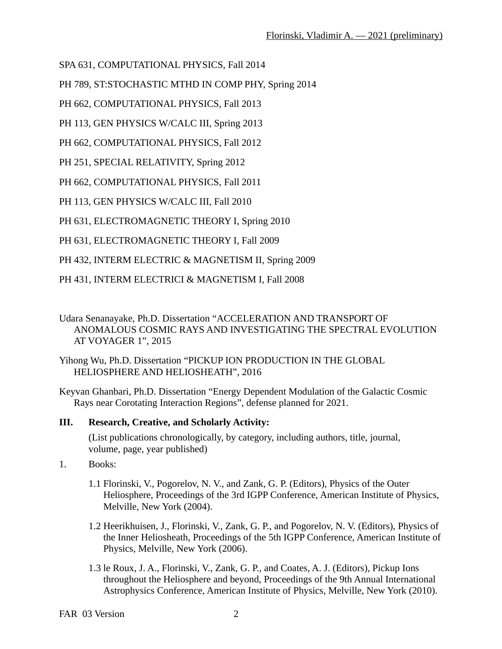SPA 631, COMPUTATIONAL PHYSICS, Fall 2014

PH 789, ST:STOCHASTIC MTHD IN COMP PHY, Spring 2014

PH 662, COMPUTATIONAL PHYSICS, Fall 2013

PH 113, GEN PHYSICS W/CALC III, Spring 2013

PH 662, COMPUTATIONAL PHYSICS, Fall 2012

PH 251, SPECIAL RELATIVITY, Spring 2012

PH 662, COMPUTATIONAL PHYSICS, Fall 2011

PH 113, GEN PHYSICS W/CALC III, Fall 2010

PH 631, ELECTROMAGNETIC THEORY I, Spring 2010

PH 631, ELECTROMAGNETIC THEORY I, Fall 2009

PH 432, INTERM ELECTRIC & MAGNETISM II, Spring 2009

PH 431, INTERM ELECTRICI & MAGNETISM I, Fall 2008

Udara Senanayake, Ph.D. Dissertation "ACCELERATION AND TRANSPORT OF ANOMALOUS COSMIC RAYS AND INVESTIGATING THE SPECTRAL EVOLUTION AT VOYAGER 1", 2015

Yihong Wu, Ph.D. Dissertation "PICKUP ION PRODUCTION IN THE GLOBAL HELIOSPHERE AND HELIOSHEATH", 2016

Keyvan Ghanbari, Ph.D. Dissertation "Energy Dependent Modulation of the Galactic Cosmic Rays near Corotating Interaction Regions", defense planned for 2021.

# **III. Research, Creative, and Scholarly Activity:**

(List publications chronologically, by category, including authors, title, journal, volume, page, year published)

- 1. Books:
	- 1.1 Florinski, V., Pogorelov, N. V., and Zank, G. P. (Editors), Physics of the Outer Heliosphere, Proceedings of the 3rd IGPP Conference, American Institute of Physics, Melville, New York (2004).
	- 1.2 Heerikhuisen, J., Florinski, V., Zank, G. P., and Pogorelov, N. V. (Editors), Physics of the Inner Heliosheath, Proceedings of the 5th IGPP Conference, American Institute of Physics, Melville, New York (2006).
	- 1.3 le Roux, J. A., Florinski, V., Zank, G. P., and Coates, A. J. (Editors), Pickup Ions throughout the Heliosphere and beyond, Proceedings of the 9th Annual International Astrophysics Conference, American Institute of Physics, Melville, New York (2010).

FAR 03 Version 2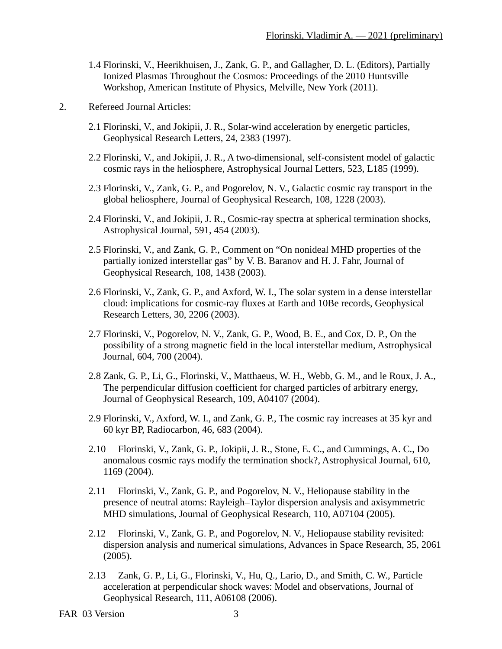- 1.4 Florinski, V., Heerikhuisen, J., Zank, G. P., and Gallagher, D. L. (Editors), Partially Ionized Plasmas Throughout the Cosmos: Proceedings of the 2010 Huntsville Workshop, American Institute of Physics, Melville, New York (2011).
- 2. Refereed Journal Articles:
	- 2.1 Florinski, V., and Jokipii, J. R., Solar-wind acceleration by energetic particles, Geophysical Research Letters, 24, 2383 (1997).
	- 2.2 Florinski, V., and Jokipii, J. R., A two-dimensional, self-consistent model of galactic cosmic rays in the heliosphere, Astrophysical Journal Letters, 523, L185 (1999).
	- 2.3 Florinski, V., Zank, G. P., and Pogorelov, N. V., Galactic cosmic ray transport in the global heliosphere, Journal of Geophysical Research, 108, 1228 (2003).
	- 2.4 Florinski, V., and Jokipii, J. R., Cosmic-ray spectra at spherical termination shocks, Astrophysical Journal, 591, 454 (2003).
	- 2.5 Florinski, V., and Zank, G. P., Comment on "On nonideal MHD properties of the partially ionized interstellar gas" by V. B. Baranov and H. J. Fahr, Journal of Geophysical Research, 108, 1438 (2003).
	- 2.6 Florinski, V., Zank, G. P., and Axford, W. I., The solar system in a dense interstellar cloud: implications for cosmic-ray fluxes at Earth and 10Be records, Geophysical Research Letters, 30, 2206 (2003).
	- 2.7 Florinski, V., Pogorelov, N. V., Zank, G. P., Wood, B. E., and Cox, D. P., On the possibility of a strong magnetic field in the local interstellar medium, Astrophysical Journal, 604, 700 (2004).
	- 2.8 Zank, G. P., Li, G., Florinski, V., Matthaeus, W. H., Webb, G. M., and le Roux, J. A., The perpendicular diffusion coefficient for charged particles of arbitrary energy, Journal of Geophysical Research, 109, A04107 (2004).
	- 2.9 Florinski, V., Axford, W. I., and Zank, G. P., The cosmic ray increases at 35 kyr and 60 kyr BP, Radiocarbon, 46, 683 (2004).
	- 2.10 Florinski, V., Zank, G. P., Jokipii, J. R., Stone, E. C., and Cummings, A. C., Do anomalous cosmic rays modify the termination shock?, Astrophysical Journal, 610, 1169 (2004).
	- 2.11 Florinski, V., Zank, G. P., and Pogorelov, N. V., Heliopause stability in the presence of neutral atoms: Rayleigh–Taylor dispersion analysis and axisymmetric MHD simulations, Journal of Geophysical Research, 110, A07104 (2005).
	- 2.12 Florinski, V., Zank, G. P., and Pogorelov, N. V., Heliopause stability revisited: dispersion analysis and numerical simulations, Advances in Space Research, 35, 2061 (2005).
	- 2.13 Zank, G. P., Li, G., Florinski, V., Hu, Q., Lario, D., and Smith, C. W., Particle acceleration at perpendicular shock waves: Model and observations, Journal of Geophysical Research, 111, A06108 (2006).

```
FAR 03 Version 3
```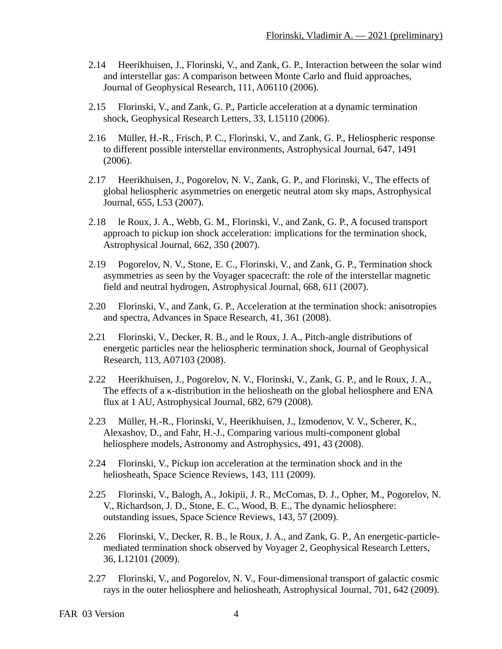- 2.14 Heerikhuisen, J., Florinski, V., and Zank, G. P., Interaction between the solar wind and interstellar gas: A comparison between Monte Carlo and fluid approaches, Journal of Geophysical Research, 111, A06110 (2006).
- 2.15 Florinski, V., and Zank, G. P., Particle acceleration at a dynamic termination shock, Geophysical Research Letters, 33, L15110 (2006).
- 2.16 Müller, H.-R., Frisch, P. C., Florinski, V., and Zank, G. P., Heliospheric response to different possible interstellar environments, Astrophysical Journal, 647, 1491 (2006).
- 2.17 Heerikhuisen, J., Pogorelov, N. V., Zank, G. P., and Florinski, V., The effects of global heliospheric asymmetries on energetic neutral atom sky maps, Astrophysical Journal, 655, L53 (2007).
- 2.18 le Roux, J. A., Webb, G. M., Florinski, V., and Zank, G. P., A focused transport approach to pickup ion shock acceleration: implications for the termination shock, Astrophysical Journal, 662, 350 (2007).
- 2.19 Pogorelov, N. V., Stone, E. C., Florinski, V., and Zank, G. P., Termination shock asymmetries as seen by the Voyager spacecraft: the role of the interstellar magnetic field and neutral hydrogen, Astrophysical Journal, 668, 611 (2007).
- 2.20 Florinski, V., and Zank, G. P., Acceleration at the termination shock: anisotropies and spectra, Advances in Space Research, 41, 361 (2008).
- 2.21 Florinski, V., Decker, R. B., and le Roux, J. A., Pitch-angle distributions of energetic particles near the heliospheric termination shock, Journal of Geophysical Research, 113, A07103 (2008).
- 2.22 Heerikhuisen, J., Pogorelov, N. V., Florinski, V., Zank, G. P., and le Roux, J. A., The effects of a κ-distribution in the heliosheath on the global heliosphere and ENA flux at 1 AU, Astrophysical Journal, 682, 679 (2008).
- 2.23 Müller, H.-R., Florinski, V., Heerikhuisen, J., Izmodenov, V. V., Scherer, K., Alexashov, D., and Fahr, H.-J., Comparing various multi-component global heliosphere models, Astronomy and Astrophysics, 491, 43 (2008).
- 2.24 Florinski, V., Pickup ion acceleration at the termination shock and in the heliosheath, Space Science Reviews, 143, 111 (2009).
- 2.25 Florinski, V., Balogh, A., Jokipii, J. R., McComas, D. J., Opher, M., Pogorelov, N. V., Richardson, J. D., Stone, E. C., Wood, B. E., The dynamic heliosphere: outstanding issues, Space Science Reviews, 143, 57 (2009).
- 2.26 Florinski, V., Decker, R. B., le Roux, J. A., and Zank, G. P., An energetic-particlemediated termination shock observed by Voyager 2, Geophysical Research Letters, 36, L12101 (2009).
- 2.27 Florinski, V., and Pogorelov, N. V., Four-dimensional transport of galactic cosmic rays in the outer heliosphere and heliosheath, Astrophysical Journal, 701, 642 (2009).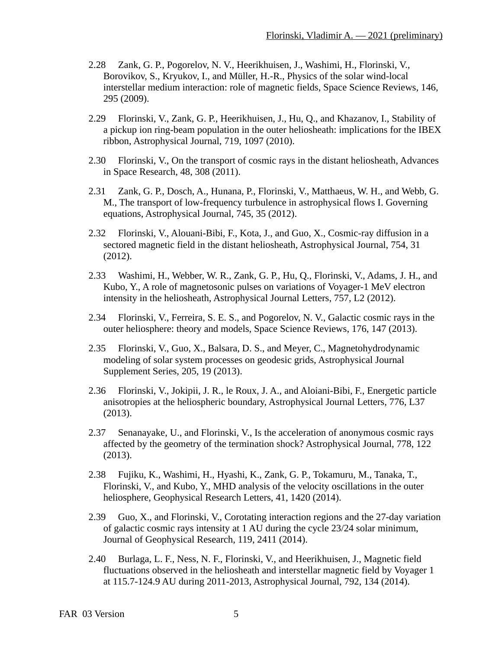- 2.28 Zank, G. P., Pogorelov, N. V., Heerikhuisen, J., Washimi, H., Florinski, V., Borovikov, S., Kryukov, I., and Müller, H.-R., Physics of the solar wind-local interstellar medium interaction: role of magnetic fields, Space Science Reviews, 146, 295 (2009).
- 2.29 Florinski, V., Zank, G. P., Heerikhuisen, J., Hu, Q., and Khazanov, I., Stability of a pickup ion ring-beam population in the outer heliosheath: implications for the IBEX ribbon, Astrophysical Journal, 719, 1097 (2010).
- 2.30 Florinski, V., On the transport of cosmic rays in the distant heliosheath, Advances in Space Research, 48, 308 (2011).
- 2.31 Zank, G. P., Dosch, A., Hunana, P., Florinski, V., Matthaeus, W. H., and Webb, G. M., The transport of low-frequency turbulence in astrophysical flows I. Governing equations, Astrophysical Journal, 745, 35 (2012).
- 2.32 Florinski, V., Alouani-Bibi, F., Kota, J., and Guo, X., Cosmic-ray diffusion in a sectored magnetic field in the distant heliosheath, Astrophysical Journal, 754, 31 (2012).
- 2.33 Washimi, H., Webber, W. R., Zank, G. P., Hu, Q., Florinski, V., Adams, J. H., and Kubo, Y., A role of magnetosonic pulses on variations of Voyager-1 MeV electron intensity in the heliosheath, Astrophysical Journal Letters, 757, L2 (2012).
- 2.34 Florinski, V., Ferreira, S. E. S., and Pogorelov, N. V., Galactic cosmic rays in the outer heliosphere: theory and models, Space Science Reviews, 176, 147 (2013).
- 2.35 Florinski, V., Guo, X., Balsara, D. S., and Meyer, C., Magnetohydrodynamic modeling of solar system processes on geodesic grids, Astrophysical Journal Supplement Series, 205, 19 (2013).
- 2.36 Florinski, V., Jokipii, J. R., le Roux, J. A., and Aloiani-Bibi, F., Energetic particle anisotropies at the heliospheric boundary, Astrophysical Journal Letters, 776, L37 (2013).
- 2.37 Senanayake, U., and Florinski, V., Is the acceleration of anonymous cosmic rays affected by the geometry of the termination shock? Astrophysical Journal, 778, 122 (2013).
- 2.38 Fujiku, K., Washimi, H., Hyashi, K., Zank, G. P., Tokamuru, M., Tanaka, T., Florinski, V., and Kubo, Y., MHD analysis of the velocity oscillations in the outer heliosphere, Geophysical Research Letters, 41, 1420 (2014).
- 2.39 Guo, X., and Florinski, V., Corotating interaction regions and the 27-day variation of galactic cosmic rays intensity at 1 AU during the cycle 23/24 solar minimum, Journal of Geophysical Research, 119, 2411 (2014).
- 2.40 Burlaga, L. F., Ness, N. F., Florinski, V., and Heerikhuisen, J., Magnetic field fluctuations observed in the heliosheath and interstellar magnetic field by Voyager 1 at 115.7-124.9 AU during 2011-2013, Astrophysical Journal, 792, 134 (2014).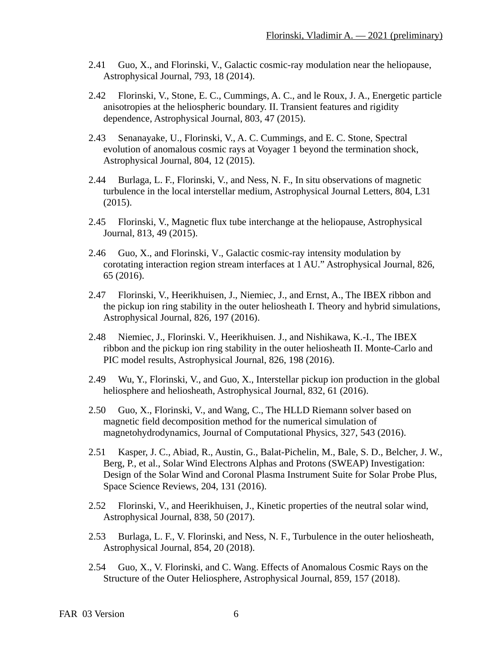- 2.41 Guo, X., and Florinski, V., Galactic cosmic-ray modulation near the heliopause, Astrophysical Journal, 793, 18 (2014).
- 2.42 Florinski, V., Stone, E. C., Cummings, A. C., and le Roux, J. A., Energetic particle anisotropies at the heliospheric boundary. II. Transient features and rigidity dependence, Astrophysical Journal, 803, 47 (2015).
- 2.43 Senanayake, U., Florinski, V., A. C. Cummings, and E. C. Stone, Spectral evolution of anomalous cosmic rays at Voyager 1 beyond the termination shock, Astrophysical Journal, 804, 12 (2015).
- 2.44 Burlaga, L. F., Florinski, V., and Ness, N. F., In situ observations of magnetic turbulence in the local interstellar medium, Astrophysical Journal Letters, 804, L31 (2015).
- 2.45 Florinski, V., Magnetic flux tube interchange at the heliopause, Astrophysical Journal, 813, 49 (2015).
- 2.46 Guo, X., and Florinski, V., Galactic cosmic-ray intensity modulation by corotating interaction region stream interfaces at 1 AU." Astrophysical Journal, 826, 65 (2016).
- 2.47 Florinski, V., Heerikhuisen, J., Niemiec, J., and Ernst, A., The IBEX ribbon and the pickup ion ring stability in the outer heliosheath I. Theory and hybrid simulations, Astrophysical Journal, 826, 197 (2016).
- 2.48 Niemiec, J., Florinski. V., Heerikhuisen. J., and Nishikawa, K.-I., The IBEX ribbon and the pickup ion ring stability in the outer heliosheath II. Monte-Carlo and PIC model results, Astrophysical Journal, 826, 198 (2016).
- 2.49 Wu, Y., Florinski, V., and Guo, X., Interstellar pickup ion production in the global heliosphere and heliosheath, Astrophysical Journal, 832, 61 (2016).
- 2.50 Guo, X., Florinski, V., and Wang, C., The HLLD Riemann solver based on magnetic field decomposition method for the numerical simulation of magnetohydrodynamics, Journal of Computational Physics, 327, 543 (2016).
- 2.51 Kasper, J. C., Abiad, R., Austin, G., Balat-Pichelin, M., Bale, S. D., Belcher, J. W., Berg, P., et al., Solar Wind Electrons Alphas and Protons (SWEAP) Investigation: Design of the Solar Wind and Coronal Plasma Instrument Suite for Solar Probe Plus, Space Science Reviews, 204, 131 (2016).
- 2.52 Florinski, V., and Heerikhuisen, J., Kinetic properties of the neutral solar wind, Astrophysical Journal, 838, 50 (2017).
- 2.53 Burlaga, L. F., V. Florinski, and Ness, N. F., Turbulence in the outer heliosheath, Astrophysical Journal, 854, 20 (2018).
- 2.54 Guo, X., V. Florinski, and C. Wang. Effects of Anomalous Cosmic Rays on the Structure of the Outer Heliosphere, Astrophysical Journal, 859, 157 (2018).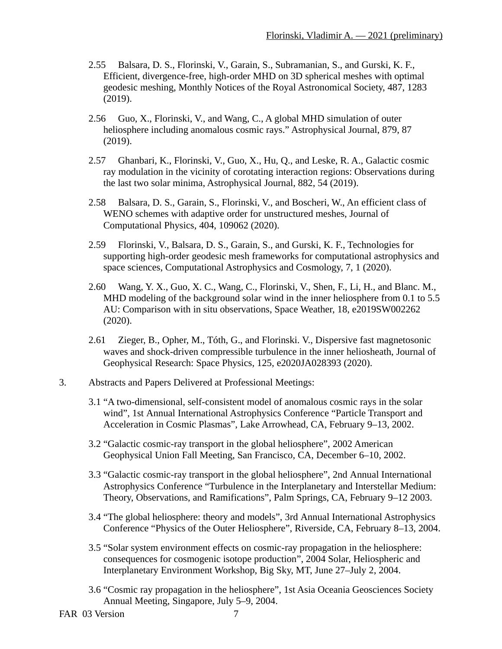- 2.55 Balsara, D. S., Florinski, V., Garain, S., Subramanian, S., and Gurski, K. F., Efficient, divergence-free, high-order MHD on 3D spherical meshes with optimal geodesic meshing, Monthly Notices of the Royal Astronomical Society, 487, 1283 (2019).
- 2.56 Guo, X., Florinski, V., and Wang, C., A global MHD simulation of outer heliosphere including anomalous cosmic rays." Astrophysical Journal, 879, 87 (2019).
- 2.57 Ghanbari, K., Florinski, V., Guo, X., Hu, Q., and Leske, R. A., Galactic cosmic ray modulation in the vicinity of corotating interaction regions: Observations during the last two solar minima, Astrophysical Journal, 882, 54 (2019).
- 2.58 Balsara, D. S., Garain, S., Florinski, V., and Boscheri, W., An efficient class of WENO schemes with adaptive order for unstructured meshes, Journal of Computational Physics, 404, 109062 (2020).
- 2.59 Florinski, V., Balsara, D. S., Garain, S., and Gurski, K. F., Technologies for supporting high-order geodesic mesh frameworks for computational astrophysics and space sciences, Computational Astrophysics and Cosmology, 7, 1 (2020).
- 2.60 Wang, Y. X., Guo, X. C., Wang, C., Florinski, V., Shen, F., Li, H., and Blanc. M., MHD modeling of the background solar wind in the inner heliosphere from 0.1 to 5.5 AU: Comparison with in situ observations, Space Weather, 18, e2019SW002262 (2020).
- 2.61 Zieger, B., Opher, M., Tóth, G., and Florinski. V., Dispersive fast magnetosonic waves and shock-driven compressible turbulence in the inner heliosheath, Journal of Geophysical Research: Space Physics, 125, e2020JA028393 (2020).
- 3. Abstracts and Papers Delivered at Professional Meetings:
	- 3.1 "A two-dimensional, self-consistent model of anomalous cosmic rays in the solar wind", 1st Annual International Astrophysics Conference "Particle Transport and Acceleration in Cosmic Plasmas", Lake Arrowhead, CA, February 9–13, 2002.
	- 3.2 "Galactic cosmic-ray transport in the global heliosphere", 2002 American Geophysical Union Fall Meeting, San Francisco, CA, December 6–10, 2002.
	- 3.3 "Galactic cosmic-ray transport in the global heliosphere", 2nd Annual International Astrophysics Conference "Turbulence in the Interplanetary and Interstellar Medium: Theory, Observations, and Ramifications", Palm Springs, CA, February 9–12 2003.
	- 3.4 "The global heliosphere: theory and models", 3rd Annual International Astrophysics Conference "Physics of the Outer Heliosphere", Riverside, CA, February 8–13, 2004.
	- 3.5 "Solar system environment effects on cosmic-ray propagation in the heliosphere: consequences for cosmogenic isotope production", 2004 Solar, Heliospheric and Interplanetary Environment Workshop, Big Sky, MT, June 27–July 2, 2004.
	- 3.6 "Cosmic ray propagation in the heliosphere", 1st Asia Oceania Geosciences Society Annual Meeting, Singapore, July 5–9, 2004.

FAR 03 Version 7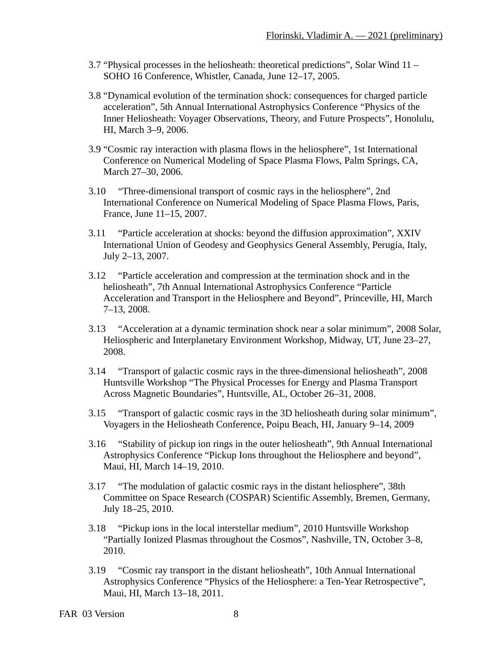- 3.7 "Physical processes in the heliosheath: theoretical predictions", Solar Wind 11 SOHO 16 Conference, Whistler, Canada, June 12–17, 2005.
- 3.8 "Dynamical evolution of the termination shock: consequences for charged particle acceleration", 5th Annual International Astrophysics Conference "Physics of the Inner Heliosheath: Voyager Observations, Theory, and Future Prospects", Honolulu, HI, March 3–9, 2006.
- 3.9 "Cosmic ray interaction with plasma flows in the heliosphere", 1st International Conference on Numerical Modeling of Space Plasma Flows, Palm Springs, CA, March 27–30, 2006.
- 3.10 "Three-dimensional transport of cosmic rays in the heliosphere", 2nd International Conference on Numerical Modeling of Space Plasma Flows, Paris, France, June 11–15, 2007.
- 3.11 "Particle acceleration at shocks: beyond the diffusion approximation", XXIV International Union of Geodesy and Geophysics General Assembly, Perugia, Italy, July 2–13, 2007.
- 3.12 "Particle acceleration and compression at the termination shock and in the heliosheath", 7th Annual International Astrophysics Conference "Particle Acceleration and Transport in the Heliosphere and Beyond", Princeville, HI, March 7–13, 2008.
- 3.13 "Acceleration at a dynamic termination shock near a solar minimum", 2008 Solar, Heliospheric and Interplanetary Environment Workshop, Midway, UT, June 23–27, 2008.
- 3.14 "Transport of galactic cosmic rays in the three-dimensional heliosheath", 2008 Huntsville Workshop "The Physical Processes for Energy and Plasma Transport Across Magnetic Boundaries", Huntsville, AL, October 26–31, 2008.
- 3.15 "Transport of galactic cosmic rays in the 3D heliosheath during solar minimum", Voyagers in the Heliosheath Conference, Poipu Beach, HI, January 9–14, 2009
- 3.16 "Stability of pickup ion rings in the outer heliosheath", 9th Annual International Astrophysics Conference "Pickup Ions throughout the Heliosphere and beyond", Maui, HI, March 14–19, 2010.
- 3.17 "The modulation of galactic cosmic rays in the distant heliosphere", 38th Committee on Space Research (COSPAR) Scientific Assembly, Bremen, Germany, July 18–25, 2010.
- 3.18 "Pickup ions in the local interstellar medium", 2010 Huntsville Workshop "Partially Ionized Plasmas throughout the Cosmos", Nashville, TN, October 3–8, 2010.
- 3.19 "Cosmic ray transport in the distant heliosheath", 10th Annual International Astrophysics Conference "Physics of the Heliosphere: a Ten-Year Retrospective", Maui, HI, March 13–18, 2011.

```
FAR 03 Version 8
```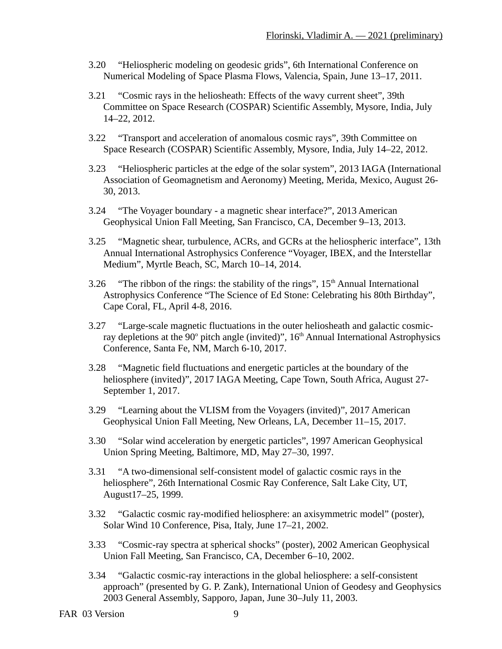- 3.20 "Heliospheric modeling on geodesic grids", 6th International Conference on Numerical Modeling of Space Plasma Flows, Valencia, Spain, June 13–17, 2011.
- 3.21 "Cosmic rays in the heliosheath: Effects of the wavy current sheet", 39th Committee on Space Research (COSPAR) Scientific Assembly, Mysore, India, July 14–22, 2012.
- 3.22 "Transport and acceleration of anomalous cosmic rays", 39th Committee on Space Research (COSPAR) Scientific Assembly, Mysore, India, July 14–22, 2012.
- 3.23 "Heliospheric particles at the edge of the solar system", 2013 IAGA (International Association of Geomagnetism and Aeronomy) Meeting, Merida, Mexico, August 26- 30, 2013.
- 3.24 "The Voyager boundary a magnetic shear interface?", 2013 American Geophysical Union Fall Meeting, San Francisco, CA, December 9–13, 2013.
- 3.25 "Magnetic shear, turbulence, ACRs, and GCRs at the heliospheric interface", 13th Annual International Astrophysics Conference "Voyager, IBEX, and the Interstellar Medium", Myrtle Beach, SC, March 10–14, 2014.
- 3.26 "The ribbon of the rings: the stability of the rings",  $15<sup>th</sup>$  Annual International Astrophysics Conference "The Science of Ed Stone: Celebrating his 80th Birthday", Cape Coral, FL, April 4-8, 2016.
- 3.27 "Large-scale magnetic fluctuations in the outer heliosheath and galactic cosmicray depletions at the 90 $^{\circ}$  pitch angle (invited)", 16<sup>th</sup> Annual International Astrophysics Conference, Santa Fe, NM, March 6-10, 2017.
- 3.28 "Magnetic field fluctuations and energetic particles at the boundary of the heliosphere (invited)", 2017 IAGA Meeting, Cape Town, South Africa, August 27- September 1, 2017.
- 3.29 "Learning about the VLISM from the Voyagers (invited)", 2017 American Geophysical Union Fall Meeting, New Orleans, LA, December 11–15, 2017.
- 3.30 "Solar wind acceleration by energetic particles", 1997 American Geophysical Union Spring Meeting, Baltimore, MD, May 27–30, 1997.
- 3.31 "A two-dimensional self-consistent model of galactic cosmic rays in the heliosphere", 26th International Cosmic Ray Conference, Salt Lake City, UT, August17–25, 1999.
- 3.32 "Galactic cosmic ray-modified heliosphere: an axisymmetric model" (poster), Solar Wind 10 Conference, Pisa, Italy, June 17–21, 2002.
- 3.33 "Cosmic-ray spectra at spherical shocks" (poster), 2002 American Geophysical Union Fall Meeting, San Francisco, CA, December 6–10, 2002.
- 3.34 "Galactic cosmic-ray interactions in the global heliosphere: a self-consistent approach" (presented by G. P. Zank), International Union of Geodesy and Geophysics 2003 General Assembly, Sapporo, Japan, June 30–July 11, 2003.
- FAR 03 Version 9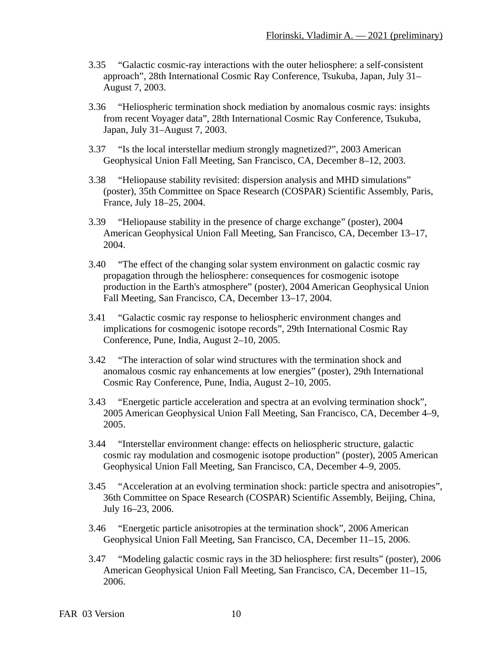- 3.35 "Galactic cosmic-ray interactions with the outer heliosphere: a self-consistent approach", 28th International Cosmic Ray Conference, Tsukuba, Japan, July 31– August 7, 2003.
- 3.36 "Heliospheric termination shock mediation by anomalous cosmic rays: insights from recent Voyager data", 28th International Cosmic Ray Conference, Tsukuba, Japan, July 31–August 7, 2003.
- 3.37 "Is the local interstellar medium strongly magnetized?", 2003 American Geophysical Union Fall Meeting, San Francisco, CA, December 8–12, 2003.
- 3.38 "Heliopause stability revisited: dispersion analysis and MHD simulations" (poster), 35th Committee on Space Research (COSPAR) Scientific Assembly, Paris, France, July 18–25, 2004.
- 3.39 "Heliopause stability in the presence of charge exchange" (poster), 2004 American Geophysical Union Fall Meeting, San Francisco, CA, December 13–17, 2004.
- 3.40 "The effect of the changing solar system environment on galactic cosmic ray propagation through the heliosphere: consequences for cosmogenic isotope production in the Earth's atmosphere" (poster), 2004 American Geophysical Union Fall Meeting, San Francisco, CA, December 13–17, 2004.
- 3.41 "Galactic cosmic ray response to heliospheric environment changes and implications for cosmogenic isotope records", 29th International Cosmic Ray Conference, Pune, India, August 2–10, 2005.
- 3.42 "The interaction of solar wind structures with the termination shock and anomalous cosmic ray enhancements at low energies" (poster), 29th International Cosmic Ray Conference, Pune, India, August 2–10, 2005.
- 3.43 "Energetic particle acceleration and spectra at an evolving termination shock", 2005 American Geophysical Union Fall Meeting, San Francisco, CA, December 4–9, 2005.
- 3.44 "Interstellar environment change: effects on heliospheric structure, galactic cosmic ray modulation and cosmogenic isotope production" (poster), 2005 American Geophysical Union Fall Meeting, San Francisco, CA, December 4–9, 2005.
- 3.45 "Acceleration at an evolving termination shock: particle spectra and anisotropies", 36th Committee on Space Research (COSPAR) Scientific Assembly, Beijing, China, July 16–23, 2006.
- 3.46 "Energetic particle anisotropies at the termination shock", 2006 American Geophysical Union Fall Meeting, San Francisco, CA, December 11–15, 2006.
- 3.47 "Modeling galactic cosmic rays in the 3D heliosphere: first results" (poster), 2006 American Geophysical Union Fall Meeting, San Francisco, CA, December 11–15, 2006.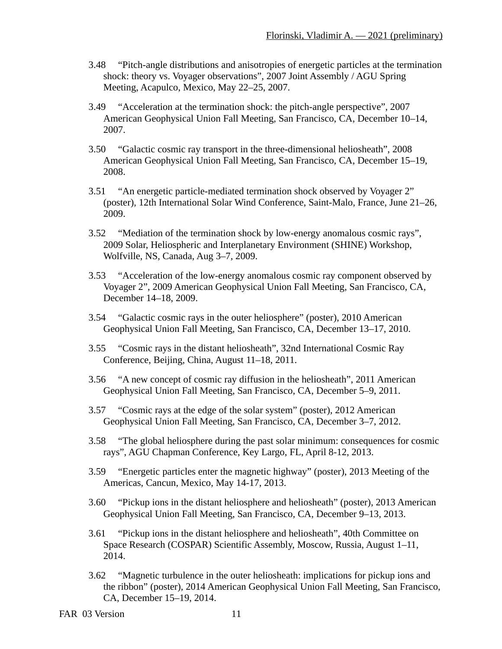- 3.48 "Pitch-angle distributions and anisotropies of energetic particles at the termination shock: theory vs. Voyager observations", 2007 Joint Assembly / AGU Spring Meeting, Acapulco, Mexico, May 22–25, 2007.
- 3.49 "Acceleration at the termination shock: the pitch-angle perspective", 2007 American Geophysical Union Fall Meeting, San Francisco, CA, December 10–14, 2007.
- 3.50 "Galactic cosmic ray transport in the three-dimensional heliosheath", 2008 American Geophysical Union Fall Meeting, San Francisco, CA, December 15–19, 2008.
- 3.51 "An energetic particle-mediated termination shock observed by Voyager 2" (poster), 12th International Solar Wind Conference, Saint-Malo, France, June 21–26, 2009.
- 3.52 "Mediation of the termination shock by low-energy anomalous cosmic rays", 2009 Solar, Heliospheric and Interplanetary Environment (SHINE) Workshop, Wolfville, NS, Canada, Aug 3–7, 2009.
- 3.53 "Acceleration of the low-energy anomalous cosmic ray component observed by Voyager 2", 2009 American Geophysical Union Fall Meeting, San Francisco, CA, December 14–18, 2009.
- 3.54 "Galactic cosmic rays in the outer heliosphere" (poster), 2010 American Geophysical Union Fall Meeting, San Francisco, CA, December 13–17, 2010.
- 3.55 "Cosmic rays in the distant heliosheath", 32nd International Cosmic Ray Conference, Beijing, China, August 11–18, 2011.
- 3.56 "A new concept of cosmic ray diffusion in the heliosheath", 2011 American Geophysical Union Fall Meeting, San Francisco, CA, December 5–9, 2011.
- 3.57 "Cosmic rays at the edge of the solar system" (poster), 2012 American Geophysical Union Fall Meeting, San Francisco, CA, December 3–7, 2012.
- 3.58 "The global heliosphere during the past solar minimum: consequences for cosmic rays", AGU Chapman Conference, Key Largo, FL, April 8-12, 2013.
- 3.59 "Energetic particles enter the magnetic highway" (poster), 2013 Meeting of the Americas, Cancun, Mexico, May 14-17, 2013.
- 3.60 "Pickup ions in the distant heliosphere and heliosheath" (poster), 2013 American Geophysical Union Fall Meeting, San Francisco, CA, December 9–13, 2013.
- 3.61 "Pickup ions in the distant heliosphere and heliosheath", 40th Committee on Space Research (COSPAR) Scientific Assembly, Moscow, Russia, August 1–11, 2014.
- 3.62 "Magnetic turbulence in the outer heliosheath: implications for pickup ions and the ribbon" (poster), 2014 American Geophysical Union Fall Meeting, San Francisco, CA, December 15–19, 2014.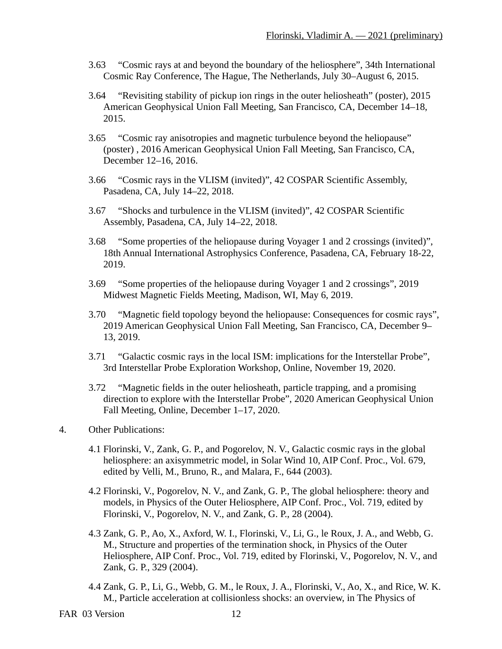- 3.63 "Cosmic rays at and beyond the boundary of the heliosphere", 34th International Cosmic Ray Conference, The Hague, The Netherlands, July 30–August 6, 2015.
- 3.64 "Revisiting stability of pickup ion rings in the outer heliosheath" (poster), 2015 American Geophysical Union Fall Meeting, San Francisco, CA, December 14–18, 2015.
- 3.65 "Cosmic ray anisotropies and magnetic turbulence beyond the heliopause" (poster) , 2016 American Geophysical Union Fall Meeting, San Francisco, CA, December 12–16, 2016.
- 3.66 "Cosmic rays in the VLISM (invited)", 42 COSPAR Scientific Assembly, Pasadena, CA, July 14–22, 2018.
- 3.67 "Shocks and turbulence in the VLISM (invited)", 42 COSPAR Scientific Assembly, Pasadena, CA, July 14–22, 2018.
- 3.68 "Some properties of the heliopause during Voyager 1 and 2 crossings (invited)", 18th Annual International Astrophysics Conference, Pasadena, CA, February 18-22, 2019.
- 3.69 "Some properties of the heliopause during Voyager 1 and 2 crossings", 2019 Midwest Magnetic Fields Meeting, Madison, WI, May 6, 2019.
- 3.70 "Magnetic field topology beyond the heliopause: Consequences for cosmic rays", 2019 American Geophysical Union Fall Meeting, San Francisco, CA, December 9– 13, 2019.
- 3.71 "Galactic cosmic rays in the local ISM: implications for the Interstellar Probe", 3rd Interstellar Probe Exploration Workshop, Online, November 19, 2020.
- 3.72 "Magnetic fields in the outer heliosheath, particle trapping, and a promising direction to explore with the Interstellar Probe", 2020 American Geophysical Union Fall Meeting, Online, December 1–17, 2020.
- 4. Other Publications:
	- 4.1 Florinski, V., Zank, G. P., and Pogorelov, N. V., Galactic cosmic rays in the global heliosphere: an axisymmetric model, in Solar Wind 10, AIP Conf. Proc., Vol. 679, edited by Velli, M., Bruno, R., and Malara, F., 644 (2003).
	- 4.2 Florinski, V., Pogorelov, N. V., and Zank, G. P., The global heliosphere: theory and models, in Physics of the Outer Heliosphere, AIP Conf. Proc., Vol. 719, edited by Florinski, V., Pogorelov, N. V., and Zank, G. P., 28 (2004).
	- 4.3 Zank, G. P., Ao, X., Axford, W. I., Florinski, V., Li, G., le Roux, J. A., and Webb, G. M., Structure and properties of the termination shock, in Physics of the Outer Heliosphere, AIP Conf. Proc., Vol. 719, edited by Florinski, V., Pogorelov, N. V., and Zank, G. P., 329 (2004).
	- 4.4 Zank, G. P., Li, G., Webb, G. M., le Roux, J. A., Florinski, V., Ao, X., and Rice, W. K. M., Particle acceleration at collisionless shocks: an overview, in The Physics of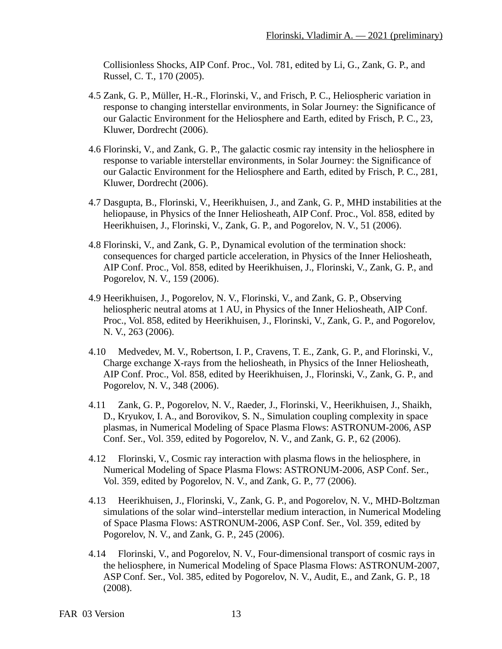Collisionless Shocks, AIP Conf. Proc., Vol. 781, edited by Li, G., Zank, G. P., and Russel, C. T., 170 (2005).

- 4.5 Zank, G. P., Müller, H.-R., Florinski, V., and Frisch, P. C., Heliospheric variation in response to changing interstellar environments, in Solar Journey: the Significance of our Galactic Environment for the Heliosphere and Earth, edited by Frisch, P. C., 23, Kluwer, Dordrecht (2006).
- 4.6 Florinski, V., and Zank, G. P., The galactic cosmic ray intensity in the heliosphere in response to variable interstellar environments, in Solar Journey: the Significance of our Galactic Environment for the Heliosphere and Earth, edited by Frisch, P. C., 281, Kluwer, Dordrecht (2006).
- 4.7 Dasgupta, B., Florinski, V., Heerikhuisen, J., and Zank, G. P., MHD instabilities at the heliopause, in Physics of the Inner Heliosheath, AIP Conf. Proc., Vol. 858, edited by Heerikhuisen, J., Florinski, V., Zank, G. P., and Pogorelov, N. V., 51 (2006).
- 4.8 Florinski, V., and Zank, G. P., Dynamical evolution of the termination shock: consequences for charged particle acceleration, in Physics of the Inner Heliosheath, AIP Conf. Proc., Vol. 858, edited by Heerikhuisen, J., Florinski, V., Zank, G. P., and Pogorelov, N. V., 159 (2006).
- 4.9 Heerikhuisen, J., Pogorelov, N. V., Florinski, V., and Zank, G. P., Observing heliospheric neutral atoms at 1 AU, in Physics of the Inner Heliosheath, AIP Conf. Proc., Vol. 858, edited by Heerikhuisen, J., Florinski, V., Zank, G. P., and Pogorelov, N. V., 263 (2006).
- 4.10 Medvedev, M. V., Robertson, I. P., Cravens, T. E., Zank, G. P., and Florinski, V., Charge exchange X-rays from the heliosheath, in Physics of the Inner Heliosheath, AIP Conf. Proc., Vol. 858, edited by Heerikhuisen, J., Florinski, V., Zank, G. P., and Pogorelov, N. V., 348 (2006).
- 4.11 Zank, G. P., Pogorelov, N. V., Raeder, J., Florinski, V., Heerikhuisen, J., Shaikh, D., Kryukov, I. A., and Borovikov, S. N., Simulation coupling complexity in space plasmas, in Numerical Modeling of Space Plasma Flows: ASTRONUM-2006, ASP Conf. Ser., Vol. 359, edited by Pogorelov, N. V., and Zank, G. P., 62 (2006).
- 4.12 Florinski, V., Cosmic ray interaction with plasma flows in the heliosphere, in Numerical Modeling of Space Plasma Flows: ASTRONUM-2006, ASP Conf. Ser., Vol. 359, edited by Pogorelov, N. V., and Zank, G. P., 77 (2006).
- 4.13 Heerikhuisen, J., Florinski, V., Zank, G. P., and Pogorelov, N. V., MHD-Boltzman simulations of the solar wind–interstellar medium interaction, in Numerical Modeling of Space Plasma Flows: ASTRONUM-2006, ASP Conf. Ser., Vol. 359, edited by Pogorelov, N. V., and Zank, G. P., 245 (2006).
- 4.14 Florinski, V., and Pogorelov, N. V., Four-dimensional transport of cosmic rays in the heliosphere, in Numerical Modeling of Space Plasma Flows: ASTRONUM-2007, ASP Conf. Ser., Vol. 385, edited by Pogorelov, N. V., Audit, E., and Zank, G. P., 18 (2008).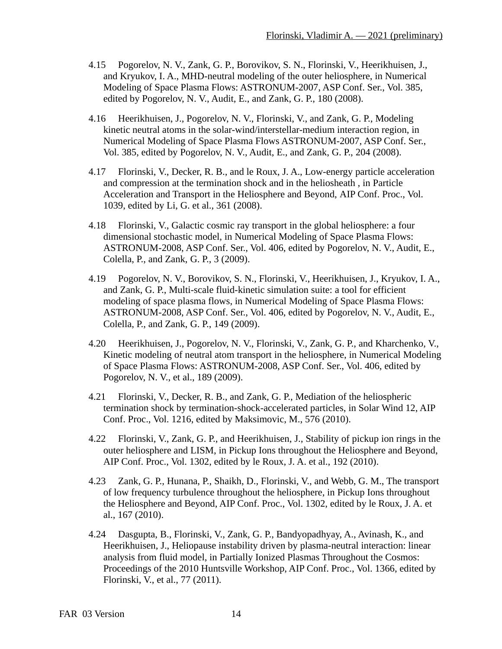- 4.15 Pogorelov, N. V., Zank, G. P., Borovikov, S. N., Florinski, V., Heerikhuisen, J., and Kryukov, I. A., MHD-neutral modeling of the outer heliosphere, in Numerical Modeling of Space Plasma Flows: ASTRONUM-2007, ASP Conf. Ser., Vol. 385, edited by Pogorelov, N. V., Audit, E., and Zank, G. P., 180 (2008).
- 4.16 Heerikhuisen, J., Pogorelov, N. V., Florinski, V., and Zank, G. P., Modeling kinetic neutral atoms in the solar-wind/interstellar-medium interaction region, in Numerical Modeling of Space Plasma Flows ASTRONUM-2007, ASP Conf. Ser., Vol. 385, edited by Pogorelov, N. V., Audit, E., and Zank, G. P., 204 (2008).
- 4.17 Florinski, V., Decker, R. B., and le Roux, J. A., Low-energy particle acceleration and compression at the termination shock and in the heliosheath , in Particle Acceleration and Transport in the Heliosphere and Beyond, AIP Conf. Proc., Vol. 1039, edited by Li, G. et al., 361 (2008).
- 4.18 Florinski, V., Galactic cosmic ray transport in the global heliosphere: a four dimensional stochastic model, in Numerical Modeling of Space Plasma Flows: ASTRONUM-2008, ASP Conf. Ser., Vol. 406, edited by Pogorelov, N. V., Audit, E., Colella, P., and Zank, G. P., 3 (2009).
- 4.19 Pogorelov, N. V., Borovikov, S. N., Florinski, V., Heerikhuisen, J., Kryukov, I. A., and Zank, G. P., Multi-scale fluid-kinetic simulation suite: a tool for efficient modeling of space plasma flows, in Numerical Modeling of Space Plasma Flows: ASTRONUM-2008, ASP Conf. Ser., Vol. 406, edited by Pogorelov, N. V., Audit, E., Colella, P., and Zank, G. P., 149 (2009).
- 4.20 Heerikhuisen, J., Pogorelov, N. V., Florinski, V., Zank, G. P., and Kharchenko, V., Kinetic modeling of neutral atom transport in the heliosphere, in Numerical Modeling of Space Plasma Flows: ASTRONUM-2008, ASP Conf. Ser., Vol. 406, edited by Pogorelov, N. V., et al., 189 (2009).
- 4.21 Florinski, V., Decker, R. B., and Zank, G. P., Mediation of the heliospheric termination shock by termination-shock-accelerated particles, in Solar Wind 12, AIP Conf. Proc., Vol. 1216, edited by Maksimovic, M., 576 (2010).
- 4.22 Florinski, V., Zank, G. P., and Heerikhuisen, J., Stability of pickup ion rings in the outer heliosphere and LISM, in Pickup Ions throughout the Heliosphere and Beyond, AIP Conf. Proc., Vol. 1302, edited by le Roux, J. A. et al., 192 (2010).
- 4.23 Zank, G. P., Hunana, P., Shaikh, D., Florinski, V., and Webb, G. M., The transport of low frequency turbulence throughout the heliosphere, in Pickup Ions throughout the Heliosphere and Beyond, AIP Conf. Proc., Vol. 1302, edited by le Roux, J. A. et al., 167 (2010).
- 4.24 Dasgupta, B., Florinski, V., Zank, G. P., Bandyopadhyay, A., Avinash, K., and Heerikhuisen, J., Heliopause instability driven by plasma-neutral interaction: linear analysis from fluid model, in Partially Ionized Plasmas Throughout the Cosmos: Proceedings of the 2010 Huntsville Workshop, AIP Conf. Proc., Vol. 1366, edited by Florinski, V., et al., 77 (2011).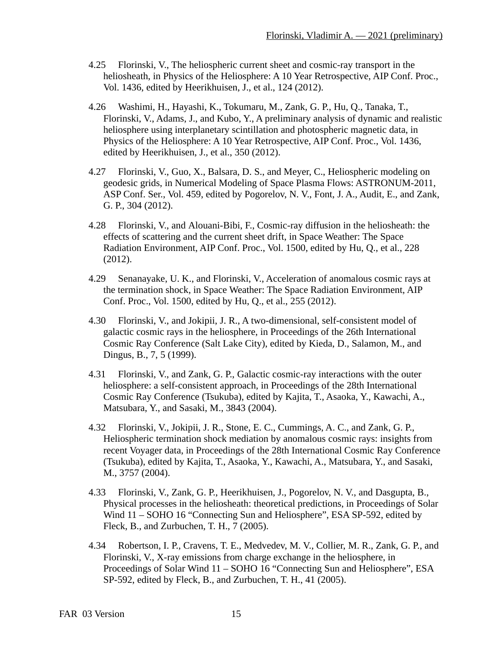- 4.25 Florinski, V., The heliospheric current sheet and cosmic-ray transport in the heliosheath, in Physics of the Heliosphere: A 10 Year Retrospective, AIP Conf. Proc., Vol. 1436, edited by Heerikhuisen, J., et al., 124 (2012).
- 4.26 Washimi, H., Hayashi, K., Tokumaru, M., Zank, G. P., Hu, Q., Tanaka, T., Florinski, V., Adams, J., and Kubo, Y., A preliminary analysis of dynamic and realistic heliosphere using interplanetary scintillation and photospheric magnetic data, in Physics of the Heliosphere: A 10 Year Retrospective, AIP Conf. Proc., Vol. 1436, edited by Heerikhuisen, J., et al., 350 (2012).
- 4.27 Florinski, V., Guo, X., Balsara, D. S., and Meyer, C., Heliospheric modeling on geodesic grids, in Numerical Modeling of Space Plasma Flows: ASTRONUM-2011, ASP Conf. Ser., Vol. 459, edited by Pogorelov, N. V., Font, J. A., Audit, E., and Zank, G. P., 304 (2012).
- 4.28 Florinski, V., and Alouani-Bibi, F., Cosmic-ray diffusion in the heliosheath: the effects of scattering and the current sheet drift, in Space Weather: The Space Radiation Environment, AIP Conf. Proc., Vol. 1500, edited by Hu, Q., et al., 228 (2012).
- 4.29 Senanayake, U. K., and Florinski, V., Acceleration of anomalous cosmic rays at the termination shock, in Space Weather: The Space Radiation Environment, AIP Conf. Proc., Vol. 1500, edited by Hu, Q., et al., 255 (2012).
- 4.30 Florinski, V., and Jokipii, J. R., A two-dimensional, self-consistent model of galactic cosmic rays in the heliosphere, in Proceedings of the 26th International Cosmic Ray Conference (Salt Lake City), edited by Kieda, D., Salamon, M., and Dingus, B., 7, 5 (1999).
- 4.31 Florinski, V., and Zank, G. P., Galactic cosmic-ray interactions with the outer heliosphere: a self-consistent approach, in Proceedings of the 28th International Cosmic Ray Conference (Tsukuba), edited by Kajita, T., Asaoka, Y., Kawachi, A., Matsubara, Y., and Sasaki, M., 3843 (2004).
- 4.32 Florinski, V., Jokipii, J. R., Stone, E. C., Cummings, A. C., and Zank, G. P., Heliospheric termination shock mediation by anomalous cosmic rays: insights from recent Voyager data, in Proceedings of the 28th International Cosmic Ray Conference (Tsukuba), edited by Kajita, T., Asaoka, Y., Kawachi, A., Matsubara, Y., and Sasaki, M., 3757 (2004).
- 4.33 Florinski, V., Zank, G. P., Heerikhuisen, J., Pogorelov, N. V., and Dasgupta, B., Physical processes in the heliosheath: theoretical predictions, in Proceedings of Solar Wind 11 – SOHO 16 "Connecting Sun and Heliosphere", ESA SP-592, edited by Fleck, B., and Zurbuchen, T. H., 7 (2005).
- 4.34 Robertson, I. P., Cravens, T. E., Medvedev, M. V., Collier, M. R., Zank, G. P., and Florinski, V., X-ray emissions from charge exchange in the heliosphere, in Proceedings of Solar Wind 11 – SOHO 16 "Connecting Sun and Heliosphere", ESA SP-592, edited by Fleck, B., and Zurbuchen, T. H., 41 (2005).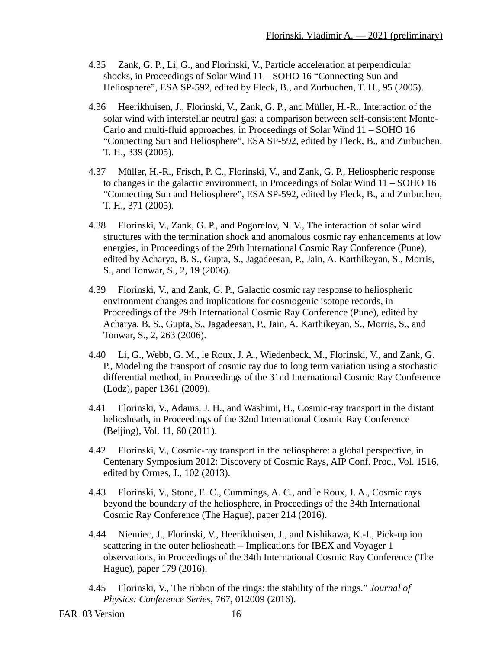- 4.35 Zank, G. P., Li, G., and Florinski, V., Particle acceleration at perpendicular shocks, in Proceedings of Solar Wind 11 – SOHO 16 "Connecting Sun and Heliosphere", ESA SP-592, edited by Fleck, B., and Zurbuchen, T. H., 95 (2005).
- 4.36 Heerikhuisen, J., Florinski, V., Zank, G. P., and Müller, H.-R., Interaction of the solar wind with interstellar neutral gas: a comparison between self-consistent Monte-Carlo and multi-fluid approaches, in Proceedings of Solar Wind 11 – SOHO 16 "Connecting Sun and Heliosphere", ESA SP-592, edited by Fleck, B., and Zurbuchen, T. H., 339 (2005).
- 4.37 Müller, H.-R., Frisch, P. C., Florinski, V., and Zank, G. P., Heliospheric response to changes in the galactic environment, in Proceedings of Solar Wind 11 – SOHO 16 "Connecting Sun and Heliosphere", ESA SP-592, edited by Fleck, B., and Zurbuchen, T. H., 371 (2005).
- 4.38 Florinski, V., Zank, G. P., and Pogorelov, N. V., The interaction of solar wind structures with the termination shock and anomalous cosmic ray enhancements at low energies, in Proceedings of the 29th International Cosmic Ray Conference (Pune), edited by Acharya, B. S., Gupta, S., Jagadeesan, P., Jain, A. Karthikeyan, S., Morris, S., and Tonwar, S., 2, 19 (2006).
- 4.39 Florinski, V., and Zank, G. P., Galactic cosmic ray response to heliospheric environment changes and implications for cosmogenic isotope records, in Proceedings of the 29th International Cosmic Ray Conference (Pune), edited by Acharya, B. S., Gupta, S., Jagadeesan, P., Jain, A. Karthikeyan, S., Morris, S., and Tonwar, S., 2, 263 (2006).
- 4.40 Li, G., Webb, G. M., le Roux, J. A., Wiedenbeck, M., Florinski, V., and Zank, G. P., Modeling the transport of cosmic ray due to long term variation using a stochastic differential method, in Proceedings of the 31nd International Cosmic Ray Conference (Lodz), paper 1361 (2009).
- 4.41 Florinski, V., Adams, J. H., and Washimi, H., Cosmic-ray transport in the distant heliosheath, in Proceedings of the 32nd International Cosmic Ray Conference (Beijing), Vol. 11, 60 (2011).
- 4.42 Florinski, V., Cosmic-ray transport in the heliosphere: a global perspective, in Centenary Symposium 2012: Discovery of Cosmic Rays, AIP Conf. Proc., Vol. 1516, edited by Ormes, J., 102 (2013).
- 4.43 Florinski, V., Stone, E. C., Cummings, A. C., and le Roux, J. A., Cosmic rays beyond the boundary of the heliosphere, in Proceedings of the 34th International Cosmic Ray Conference (The Hague), paper 214 (2016).
- 4.44 Niemiec, J., Florinski, V., Heerikhuisen, J., and Nishikawa, K.-I., Pick-up ion scattering in the outer heliosheath – Implications for IBEX and Voyager 1 observations, in Proceedings of the 34th International Cosmic Ray Conference (The Hague), paper 179 (2016).
- 4.45 Florinski, V., The ribbon of the rings: the stability of the rings." *Journal of Physics: Conference Series*, 767, 012009 (2016).

```
FAR 03 Version 16
```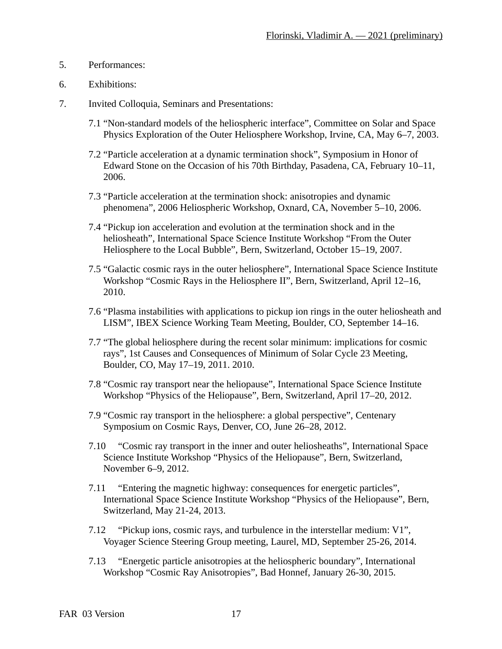- 5. Performances:
- 6. Exhibitions:
- 7. Invited Colloquia, Seminars and Presentations:
	- 7.1 "Non-standard models of the heliospheric interface", Committee on Solar and Space Physics Exploration of the Outer Heliosphere Workshop, Irvine, CA, May 6–7, 2003.
	- 7.2 "Particle acceleration at a dynamic termination shock", Symposium in Honor of Edward Stone on the Occasion of his 70th Birthday, Pasadena, CA, February 10–11, 2006.
	- 7.3 "Particle acceleration at the termination shock: anisotropies and dynamic phenomena", 2006 Heliospheric Workshop, Oxnard, CA, November 5–10, 2006.
	- 7.4 "Pickup ion acceleration and evolution at the termination shock and in the heliosheath", International Space Science Institute Workshop "From the Outer Heliosphere to the Local Bubble", Bern, Switzerland, October 15–19, 2007.
	- 7.5 "Galactic cosmic rays in the outer heliosphere", International Space Science Institute Workshop "Cosmic Rays in the Heliosphere II", Bern, Switzerland, April 12–16, 2010.
	- 7.6 "Plasma instabilities with applications to pickup ion rings in the outer heliosheath and LISM", IBEX Science Working Team Meeting, Boulder, CO, September 14–16.
	- 7.7 "The global heliosphere during the recent solar minimum: implications for cosmic rays", 1st Causes and Consequences of Minimum of Solar Cycle 23 Meeting, Boulder, CO, May 17–19, 2011. 2010.
	- 7.8 "Cosmic ray transport near the heliopause", International Space Science Institute Workshop "Physics of the Heliopause", Bern, Switzerland, April 17–20, 2012.
	- 7.9 "Cosmic ray transport in the heliosphere: a global perspective", Centenary Symposium on Cosmic Rays, Denver, CO, June 26–28, 2012.
	- 7.10 "Cosmic ray transport in the inner and outer heliosheaths", International Space Science Institute Workshop "Physics of the Heliopause", Bern, Switzerland, November 6–9, 2012.
	- 7.11 "Entering the magnetic highway: consequences for energetic particles", International Space Science Institute Workshop "Physics of the Heliopause", Bern, Switzerland, May 21-24, 2013.
	- 7.12 "Pickup ions, cosmic rays, and turbulence in the interstellar medium: V1", Voyager Science Steering Group meeting, Laurel, MD, September 25-26, 2014.
	- 7.13 "Energetic particle anisotropies at the heliospheric boundary", International Workshop "Cosmic Ray Anisotropies", Bad Honnef, January 26-30, 2015.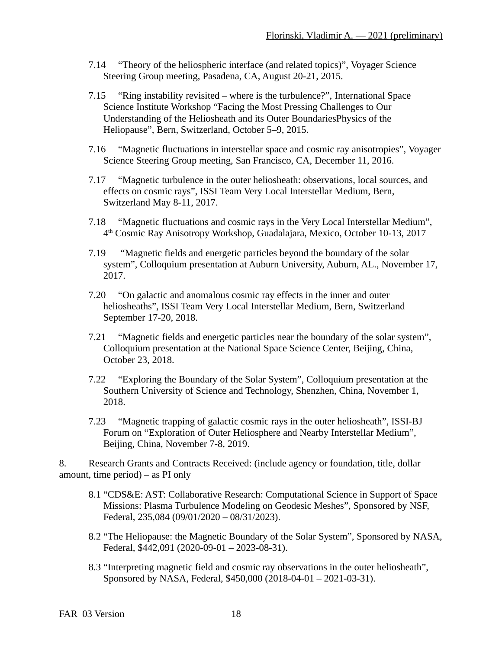- 7.14 "Theory of the heliospheric interface (and related topics)", Voyager Science Steering Group meeting, Pasadena, CA, August 20-21, 2015.
- 7.15 "Ring instability revisited where is the turbulence?", International Space Science Institute Workshop "Facing the Most Pressing Challenges to Our Understanding of the Heliosheath and its Outer BoundariesPhysics of the Heliopause", Bern, Switzerland, October 5–9, 2015.
- 7.16 "Magnetic fluctuations in interstellar space and cosmic ray anisotropies", Voyager Science Steering Group meeting, San Francisco, CA, December 11, 2016.
- 7.17 "Magnetic turbulence in the outer heliosheath: observations, local sources, and effects on cosmic rays", ISSI Team Very Local Interstellar Medium, Bern, Switzerland May 8-11, 2017.
- 7.18 "Magnetic fluctuations and cosmic rays in the Very Local Interstellar Medium", 4 th Cosmic Ray Anisotropy Workshop, Guadalajara, Mexico, October 10-13, 2017
- 7.19 "Magnetic fields and energetic particles beyond the boundary of the solar system", Colloquium presentation at Auburn University, Auburn, AL., November 17, 2017.
- 7.20 "On galactic and anomalous cosmic ray effects in the inner and outer heliosheaths", ISSI Team Very Local Interstellar Medium, Bern, Switzerland September 17-20, 2018.
- 7.21 "Magnetic fields and energetic particles near the boundary of the solar system", Colloquium presentation at the National Space Science Center, Beijing, China, October 23, 2018.
- 7.22 "Exploring the Boundary of the Solar System", Colloquium presentation at the Southern University of Science and Technology, Shenzhen, China, November 1, 2018.
- 7.23 "Magnetic trapping of galactic cosmic rays in the outer heliosheath", ISSI-BJ Forum on "Exploration of Outer Heliosphere and Nearby Interstellar Medium", Beijing, China, November 7-8, 2019.

8. Research Grants and Contracts Received: (include agency or foundation, title, dollar amount, time period) – as PI only

- 8.1 "CDS&E: AST: Collaborative Research: Computational Science in Support of Space Missions: Plasma Turbulence Modeling on Geodesic Meshes", Sponsored by NSF, Federal, 235,084 (09/01/2020 – 08/31/2023).
- 8.2 "The Heliopause: the Magnetic Boundary of the Solar System", Sponsored by NASA, Federal, \$442,091 (2020-09-01 – 2023-08-31).
- 8.3 "Interpreting magnetic field and cosmic ray observations in the outer heliosheath", Sponsored by NASA, Federal, \$450,000 (2018-04-01 – 2021-03-31).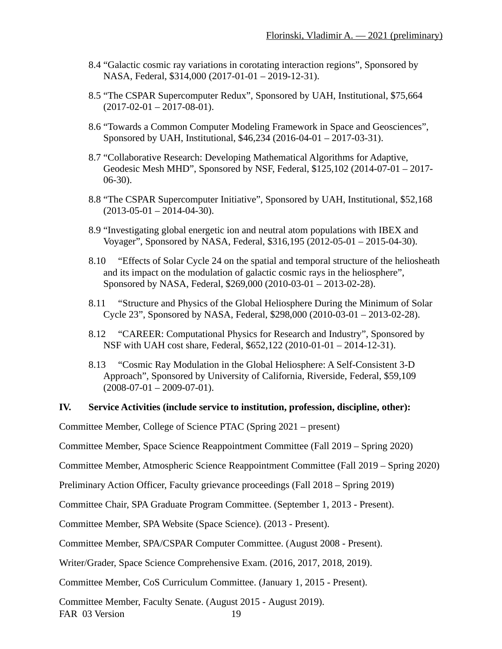- 8.4 "Galactic cosmic ray variations in corotating interaction regions", Sponsored by NASA, Federal, \$314,000 (2017-01-01 – 2019-12-31).
- 8.5 "The CSPAR Supercomputer Redux", Sponsored by UAH, Institutional, \$75,664  $(2017-02-01-2017-08-01)$ .
- 8.6 "Towards a Common Computer Modeling Framework in Space and Geosciences", Sponsored by UAH, Institutional, \$46,234 (2016-04-01 – 2017-03-31).
- 8.7 "Collaborative Research: Developing Mathematical Algorithms for Adaptive, Geodesic Mesh MHD", Sponsored by NSF, Federal, \$125,102 (2014-07-01 – 2017- 06-30).
- 8.8 "The CSPAR Supercomputer Initiative", Sponsored by UAH, Institutional, \$52,168  $(2013-05-01 - 2014-04-30).$
- 8.9 "Investigating global energetic ion and neutral atom populations with IBEX and Voyager", Sponsored by NASA, Federal, \$316,195 (2012-05-01 – 2015-04-30).
- 8.10 "Effects of Solar Cycle 24 on the spatial and temporal structure of the heliosheath and its impact on the modulation of galactic cosmic rays in the heliosphere", Sponsored by NASA, Federal, \$269,000 (2010-03-01 – 2013-02-28).
- 8.11 "Structure and Physics of the Global Heliosphere During the Minimum of Solar Cycle 23", Sponsored by NASA, Federal, \$298,000 (2010-03-01 – 2013-02-28).
- 8.12 "CAREER: Computational Physics for Research and Industry", Sponsored by NSF with UAH cost share, Federal, \$652,122 (2010-01-01 – 2014-12-31).
- 8.13 "Cosmic Ray Modulation in the Global Heliosphere: A Self-Consistent 3-D Approach", Sponsored by University of California, Riverside, Federal, \$59,109  $(2008-07-01 - 2009-07-01).$

#### **IV. Service Activities (include service to institution, profession, discipline, other):**

Committee Member, College of Science PTAC (Spring 2021 – present)

Committee Member, Space Science Reappointment Committee (Fall 2019 – Spring 2020)

Committee Member, Atmospheric Science Reappointment Committee (Fall 2019 – Spring 2020)

Preliminary Action Officer, Faculty grievance proceedings (Fall 2018 – Spring 2019)

Committee Chair, SPA Graduate Program Committee. (September 1, 2013 - Present).

Committee Member, SPA Website (Space Science). (2013 - Present).

Committee Member, SPA/CSPAR Computer Committee. (August 2008 - Present).

Writer/Grader, Space Science Comprehensive Exam. (2016, 2017, 2018, 2019).

Committee Member, CoS Curriculum Committee. (January 1, 2015 - Present).

Committee Member, Faculty Senate. (August 2015 - August 2019). FAR 03 Version 19